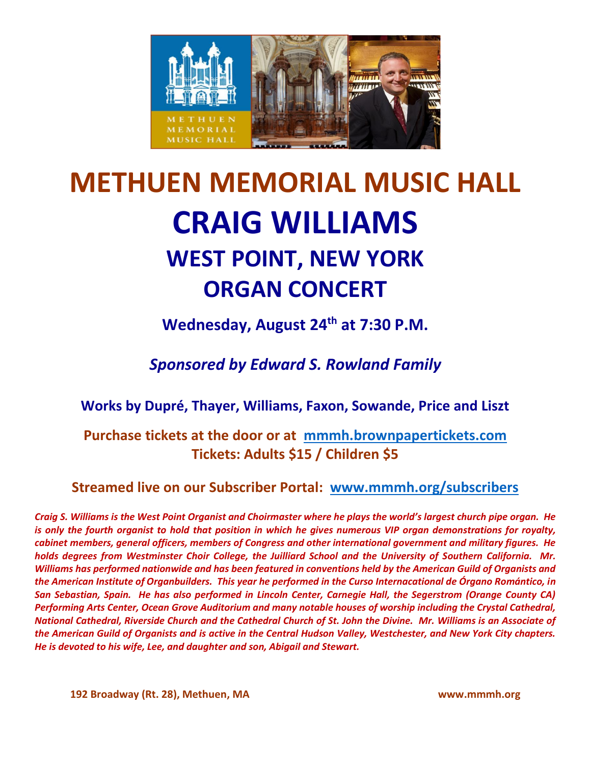

# **METHUEN MEMORIAL MUSIC HALL CRAIG WILLIAMS WEST POINT, NEW YORK ORGAN CONCERT**

**Wednesday, August 24th at 7:30 P.M.**

*Sponsored by Edward S. Rowland Family*

**Works by Dupré, Thayer, Williams, Faxon, Sowande, Price and Liszt**

**Purchase tickets at the door or at [mmmh.brownpapertickets.com](http://mmmh.brownpapertickets.com/) Tickets: Adults \$15 / Children \$5**

**Streamed live on our Subscriber Portal: [www.mmmh.org/subscribers](http://www.mmmh.org/subscribers)**

*Craig S. Williams is the West Point Organist and Choirmaster where he plays the world's largest church pipe organ. He is only the fourth organist to hold that position in which he gives numerous VIP organ demonstrations for royalty, cabinet members, general officers, members of Congress and other international government and military figures. He holds degrees from Westminster Choir College, the Juilliard School and the University of Southern California. Mr. Williams has performed nationwide and has been featured in conventions held by the American Guild of Organists and the American Institute of Organbuilders. This year he performed in the Curso Internacational de Órgano Romántico, in San Sebastian, Spain. He has also performed in Lincoln Center, Carnegie Hall, the Segerstrom (Orange County CA) Performing Arts Center, Ocean Grove Auditorium and many notable houses of worship including the Crystal Cathedral, National Cathedral, Riverside Church and the Cathedral Church of St. John the Divine. Mr. Williams is an Associate of the American Guild of Organists and is active in the Central Hudson Valley, Westchester, and New York City chapters. He is devoted to his wife, Lee, and daughter and son, Abigail and Stewart.*

**192 Broadway (Rt. 28), Methuen, MA www.mmmh.org**